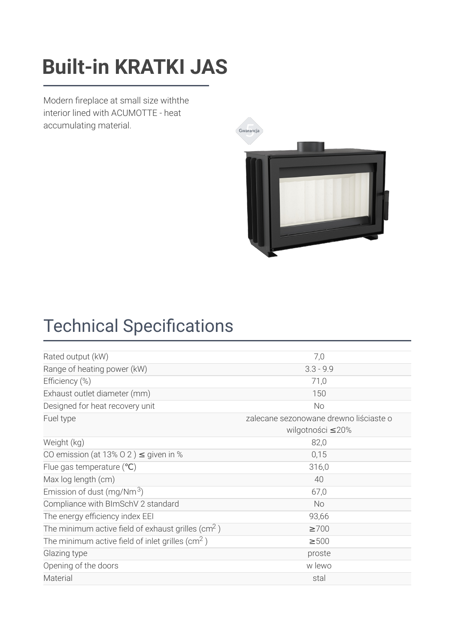### $\mathsf{P}\mathsf{u}\mathsf{d}\mathsf{F}$  is a set of  $\mathsf{P}\mathsf{u}\mathsf{d}\mathsf{F}$  and  $\mathsf{P}\mathsf{u}\mathsf{d}\mathsf{F}$ **Built-in KRATKI JAS**

Modern fireplace at small size withthe interior lined with ACUMOTTE - heat accumulating material.



# **Technical Specifications**

| Rated output (kW)                                              | 7,0                                    |
|----------------------------------------------------------------|----------------------------------------|
| Range of heating power (kW)                                    | $3.3 - 9.9$                            |
| Efficiency (%)                                                 | 71,0                                   |
| Exhaust outlet diameter (mm)                                   | 150                                    |
| Designed for heat recovery unit                                | No                                     |
| Fuel type                                                      | zalecane sezonowane drewno liściaste o |
|                                                                | wilgotności ≤20%                       |
| Weight (kg)                                                    | 82,0                                   |
| CO emission (at 13% O 2) $\leq$ given in %                     | 0,15                                   |
| Flue gas temperature $(°C)$                                    | 316,0                                  |
| Max log length (cm)                                            | 40                                     |
| Emission of dust (mg/Nm $3$ )                                  | 67,0                                   |
| Compliance with BImSchV 2 standard                             | <b>No</b>                              |
| The energy efficiency index EEI                                | 93,66                                  |
| The minimum active field of exhaust grilles (cm <sup>2</sup> ) | $\geq 700$                             |
| The minimum active field of inlet grilles (cm <sup>2</sup> )   | $\geq 500$                             |
| Glazing type                                                   | proste                                 |
| Opening of the doors                                           | w lewo                                 |
| Material                                                       | stal                                   |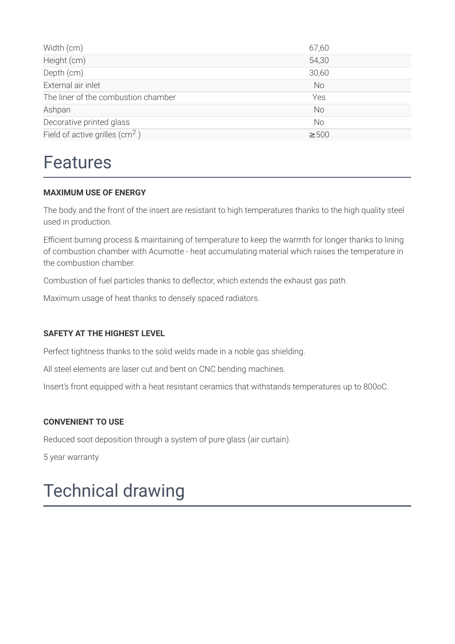| Width (cm)                          | 67,60      |
|-------------------------------------|------------|
| Height (cm)                         | 54,30      |
| Depth (cm)                          | 30,60      |
| External air inlet                  | <b>No</b>  |
| The liner of the combustion chamber | Yes        |
| Ashpan                              | <b>No</b>  |
| Decorative printed glass            | <b>No</b>  |
| Field of active grilles $(cm2)$     | $\geq 500$ |

### Features

#### **MAXIMUM USE OF ENERGY**

The body and the front of the insert are resistant to high temperatures thanks to the high quality steel used in production.

Efficient burning process & maintaining of temperature to keep the warmth for longer thanks to lining of combustion chamber with Acumotte - heat accumulating material which raises the temperature in the combustion chamber.

Combustion of fuel particles thanks to deflector, which extends the exhaust gas path.

Maximum usage of heat thanks to densely spaced radiators.

#### **SAFETY AT THE HIGHEST LEVEL**

Perfect tightness thanks to the solid welds made in a noble gas shielding.

All steel elements are laser cut and bent on CNC bending machines.

Insert's front equipped with a heat resistant ceramics that withstands temperatures up to 800oC.

#### **CONVENIENT TO USE**

Reduced soot deposition through a system of pure glass (air curtain).

5 year warranty.

## Technical drawing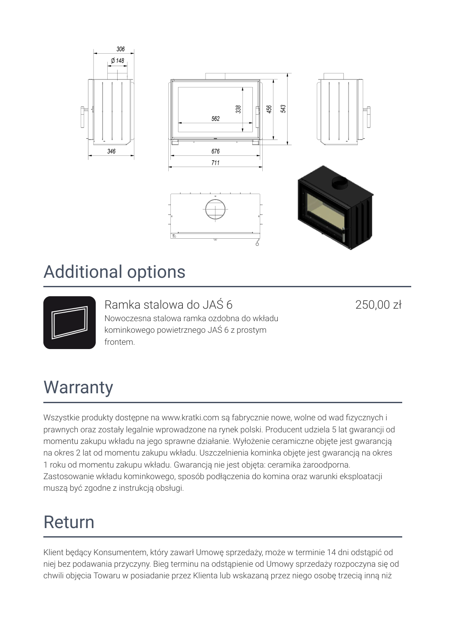

### Additional options



Ramka stalowa do JAŚ 6 Nowoczesna stalowa ramka ozdobna do wkładu kominkowego powietrznego JAŚ 6 z prostym frontem.

250,00 zł

## **Warranty**

Wszystkie produkty dostępne na www.kratki.com są fabrycznie nowe, wolne od wad fizycznych i prawnych oraz zostały legalnie wprowadzone na rynek polski. Producent udziela 5 lat gwarancji od momentu zakupu wkładu na jego sprawne działanie. Wyłożenie ceramiczne objęte jest gwarancją na okres 2 lat od momentu zakupu wkładu. Uszczelnienia kominka objęte jest gwarancją na okres 1 roku od momentu zakupu wkładu. Gwarancją nie jest objęta: ceramika żaroodporna. Zastosowanie wkładu kominkowego, sposób podłączenia do komina oraz warunki eksploatacji muszą być zgodne z instrukcją obsługi.

# Return

Klient będący Konsumentem, który zawarł Umowę sprzedaży, może w terminie 14 dni odstąpić od niej bez podawania przyczyny. Bieg terminu na odstąpienie od Umowy sprzedaży rozpoczyna się od chwili objęcia Towaru w posiadanie przez Klienta lub wskazaną przez niego osobę trzecią inną niż